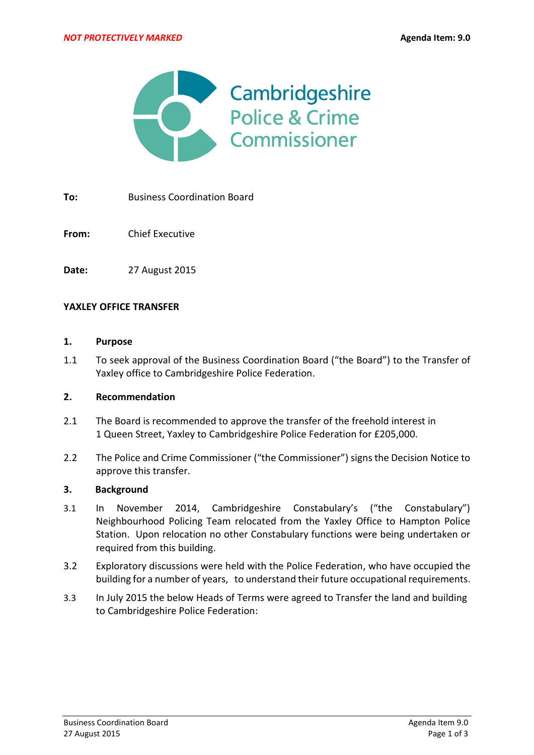

**To:** Business Coordination Board

**From:** Chief Executive

**Date:** 27 August 2015

#### **YAXLEY OFFICE TRANSFER**

#### **1. Purpose**

1.1 To seek approval of the Business Coordination Board ("the Board") to the Transfer of Yaxley office to Cambridgeshire Police Federation.

### **2. Recommendation**

- 2.1 The Board is recommended to approve the transfer of the freehold interest in 1 Queen Street, Yaxley to Cambridgeshire Police Federation for £205,000.
- 2.2 The Police and Crime Commissioner ("the Commissioner") signs the Decision Notice to approve this transfer.

#### **3. Background**

- 3.1 In November 2014, Cambridgeshire Constabulary's ("the Constabulary") Neighbourhood Policing Team relocated from the Yaxley Office to Hampton Police Station. Upon relocation no other Constabulary functions were being undertaken or required from this building.
- 3.2 Exploratory discussions were held with the Police Federation, who have occupied the building for a number of years, to understand their future occupational requirements.
- 3.3 In July 2015 the below Heads of Terms were agreed to Transfer the land and building to Cambridgeshire Police Federation: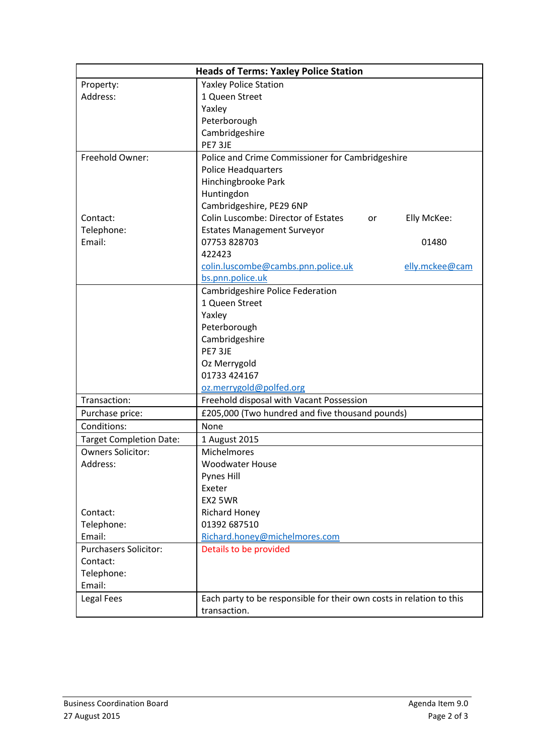| <b>Heads of Terms: Yaxley Police Station</b> |                                                                      |
|----------------------------------------------|----------------------------------------------------------------------|
| Property:                                    | <b>Yaxley Police Station</b>                                         |
| Address:                                     | 1 Queen Street                                                       |
|                                              | Yaxley                                                               |
|                                              | Peterborough                                                         |
|                                              | Cambridgeshire                                                       |
|                                              | PE7 3JE                                                              |
| Freehold Owner:                              | Police and Crime Commissioner for Cambridgeshire                     |
|                                              | <b>Police Headquarters</b>                                           |
|                                              | Hinchingbrooke Park                                                  |
|                                              | Huntingdon                                                           |
|                                              | Cambridgeshire, PE29 6NP                                             |
| Contact:                                     | Colin Luscombe: Director of Estates<br>Elly McKee:<br>or             |
| Telephone:                                   | <b>Estates Management Surveyor</b>                                   |
| Email:                                       | 07753 828703<br>01480                                                |
|                                              | 422423                                                               |
|                                              | colin.luscombe@cambs.pnn.police.uk<br>elly.mckee@cam                 |
|                                              | bs.pnn.police.uk                                                     |
|                                              | Cambridgeshire Police Federation                                     |
|                                              | 1 Queen Street                                                       |
|                                              | Yaxley                                                               |
|                                              | Peterborough                                                         |
|                                              | Cambridgeshire                                                       |
|                                              | PE7 3JE                                                              |
|                                              | Oz Merrygold                                                         |
|                                              | 01733 424167                                                         |
|                                              | oz.merrygold@polfed.org                                              |
| Transaction:                                 | Freehold disposal with Vacant Possession                             |
| Purchase price:                              | £205,000 (Two hundred and five thousand pounds)                      |
| Conditions:                                  | None                                                                 |
| <b>Target Completion Date:</b>               | 1 August 2015                                                        |
| <b>Owners Solicitor:</b>                     | Michelmores                                                          |
| Address:                                     | <b>Woodwater House</b>                                               |
|                                              | Pynes Hill                                                           |
|                                              | Exeter                                                               |
|                                              | EX2 5WR                                                              |
| Contact:                                     | <b>Richard Honey</b>                                                 |
| Telephone:                                   | 01392 687510                                                         |
| Email:                                       | Richard.honey@michelmores.com                                        |
| <b>Purchasers Solicitor:</b>                 | Details to be provided                                               |
| Contact:                                     |                                                                      |
| Telephone:                                   |                                                                      |
| Email:                                       |                                                                      |
| Legal Fees                                   | Each party to be responsible for their own costs in relation to this |
|                                              | transaction.                                                         |